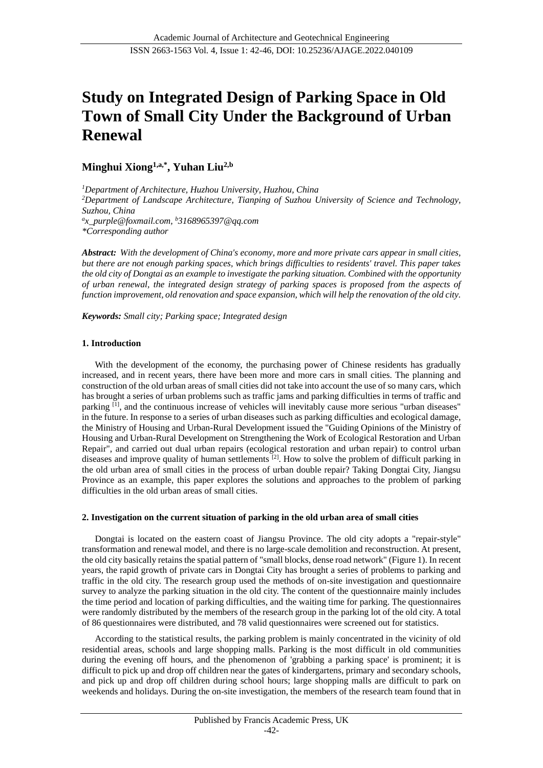# **Study on Integrated Design of Parking Space in Old Town of Small City Under the Background of Urban Renewal**

**Minghui Xiong1,a,\*, Yuhan Liu2,b**

*<sup>1</sup>Department of Architecture, Huzhou University, Huzhou, China <sup>2</sup>Department of Landscape Architecture, Tianping of Suzhou University of Science and Technology, Suzhou, China a x\_purple@foxmail.com, <sup>b</sup>3168965397@qq.com \*Corresponding author*

*Abstract: With the development of China's economy, more and more private cars appear in small cities, but there are not enough parking spaces, which brings difficulties to residents' travel. This paper takes the old city of Dongtai as an example to investigate the parking situation. Combined with the opportunity of urban renewal, the integrated design strategy of parking spaces is proposed from the aspects of function improvement, old renovation and space expansion, which will help the renovation of the old city.*

*Keywords: Small city; Parking space; Integrated design*

# **1. Introduction**

With the development of the economy, the purchasing power of Chinese residents has gradually increased, and in recent years, there have been more and more cars in small cities. The planning and construction of the old urban areas of small cities did not take into account the use of so many cars, which has brought a series of urban problems such as traffic jams and parking difficulties in terms of traffic and parking [1], and the continuous increase of vehicles will inevitably cause more serious "urban diseases" in the future. In response to a series of urban diseases such as parking difficulties and ecological damage, the Ministry of Housing and Urban-Rural Development issued the "Guiding Opinions of the Ministry of Housing and Urban-Rural Development on Strengthening the Work of Ecological Restoration and Urban Repair", and carried out dual urban repairs (ecological restoration and urban repair) to control urban diseases and improve quality of human settlements [2]. How to solve the problem of difficult parking in the old urban area of small cities in the process of urban double repair? Taking Dongtai City, Jiangsu Province as an example, this paper explores the solutions and approaches to the problem of parking difficulties in the old urban areas of small cities.

# **2. Investigation on the current situation of parking in the old urban area of small cities**

Dongtai is located on the eastern coast of Jiangsu Province. The old city adopts a "repair-style" transformation and renewal model, and there is no large-scale demolition and reconstruction. At present, the old city basically retains the spatial pattern of "small blocks, dense road network" (Figure 1). In recent years, the rapid growth of private cars in Dongtai City has brought a series of problems to parking and traffic in the old city. The research group used the methods of on-site investigation and questionnaire survey to analyze the parking situation in the old city. The content of the questionnaire mainly includes the time period and location of parking difficulties, and the waiting time for parking. The questionnaires were randomly distributed by the members of the research group in the parking lot of the old city. A total of 86 questionnaires were distributed, and 78 valid questionnaires were screened out for statistics.

According to the statistical results, the parking problem is mainly concentrated in the vicinity of old residential areas, schools and large shopping malls. Parking is the most difficult in old communities during the evening off hours, and the phenomenon of 'grabbing a parking space' is prominent; it is difficult to pick up and drop off children near the gates of kindergartens, primary and secondary schools, and pick up and drop off children during school hours; large shopping malls are difficult to park on weekends and holidays. During the on-site investigation, the members of the research team found that in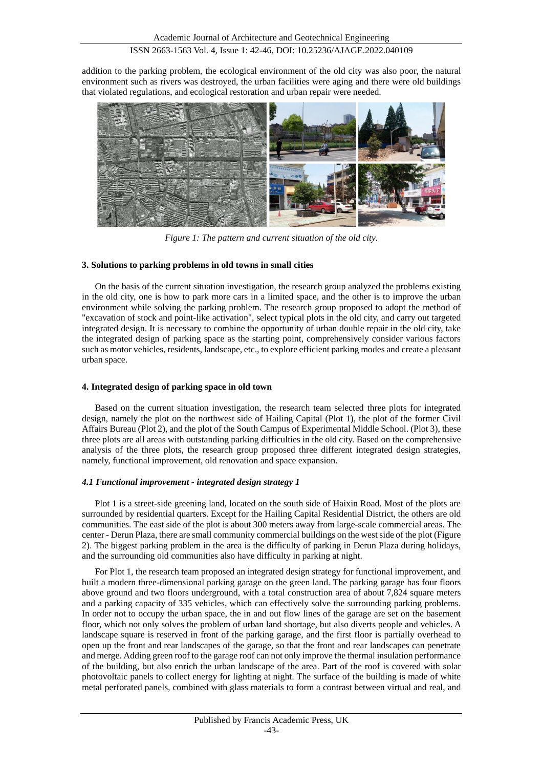#### ISSN 2663-1563 Vol. 4, Issue 1: 42-46, DOI: 10.25236/AJAGE.2022.040109

addition to the parking problem, the ecological environment of the old city was also poor, the natural environment such as rivers was destroyed, the urban facilities were aging and there were old buildings that violated regulations, and ecological restoration and urban repair were needed.



*Figure 1: The pattern and current situation of the old city.*

#### **3. Solutions to parking problems in old towns in small cities**

On the basis of the current situation investigation, the research group analyzed the problems existing in the old city, one is how to park more cars in a limited space, and the other is to improve the urban environment while solving the parking problem. The research group proposed to adopt the method of "excavation of stock and point-like activation", select typical plots in the old city, and carry out targeted integrated design. It is necessary to combine the opportunity of urban double repair in the old city, take the integrated design of parking space as the starting point, comprehensively consider various factors such as motor vehicles, residents, landscape, etc., to explore efficient parking modes and create a pleasant urban space.

#### **4. Integrated design of parking space in old town**

Based on the current situation investigation, the research team selected three plots for integrated design, namely the plot on the northwest side of Hailing Capital (Plot 1), the plot of the former Civil Affairs Bureau (Plot 2), and the plot of the South Campus of Experimental Middle School. (Plot 3), these three plots are all areas with outstanding parking difficulties in the old city. Based on the comprehensive analysis of the three plots, the research group proposed three different integrated design strategies, namely, functional improvement, old renovation and space expansion.

#### *4.1 Functional improvement - integrated design strategy 1*

Plot 1 is a street-side greening land, located on the south side of Haixin Road. Most of the plots are surrounded by residential quarters. Except for the Hailing Capital Residential District, the others are old communities. The east side of the plot is about 300 meters away from large-scale commercial areas. The center - Derun Plaza, there are small community commercial buildings on the west side of the plot (Figure 2). The biggest parking problem in the area is the difficulty of parking in Derun Plaza during holidays, and the surrounding old communities also have difficulty in parking at night.

For Plot 1, the research team proposed an integrated design strategy for functional improvement, and built a modern three-dimensional parking garage on the green land. The parking garage has four floors above ground and two floors underground, with a total construction area of about 7,824 square meters and a parking capacity of 335 vehicles, which can effectively solve the surrounding parking problems. In order not to occupy the urban space, the in and out flow lines of the garage are set on the basement floor, which not only solves the problem of urban land shortage, but also diverts people and vehicles. A landscape square is reserved in front of the parking garage, and the first floor is partially overhead to open up the front and rear landscapes of the garage, so that the front and rear landscapes can penetrate and merge. Adding green roof to the garage roof can not only improve the thermal insulation performance of the building, but also enrich the urban landscape of the area. Part of the roof is covered with solar photovoltaic panels to collect energy for lighting at night. The surface of the building is made of white metal perforated panels, combined with glass materials to form a contrast between virtual and real, and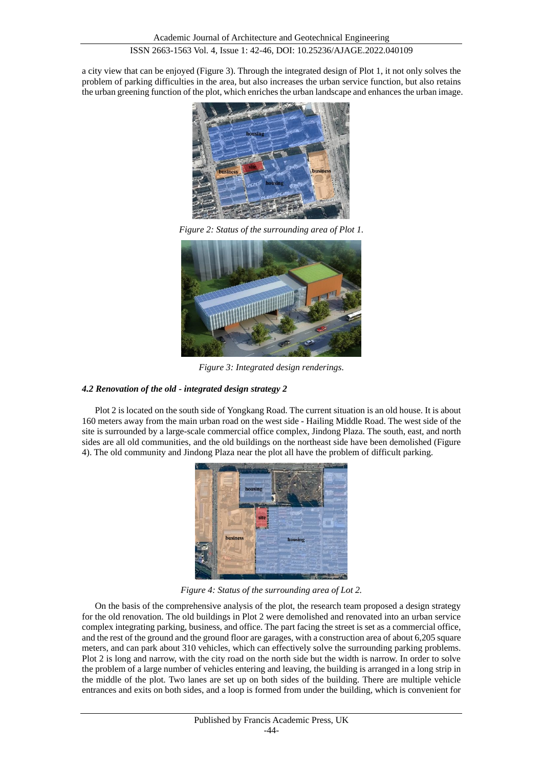## ISSN 2663-1563 Vol. 4, Issue 1: 42-46, DOI: 10.25236/AJAGE.2022.040109

a city view that can be enjoyed (Figure 3). Through the integrated design of Plot 1, it not only solves the problem of parking difficulties in the area, but also increases the urban service function, but also retains the urban greening function of the plot, which enriches the urban landscape and enhances the urban image.



*Figure 2: Status of the surrounding area of Plot 1.*



*Figure 3: Integrated design renderings.*

## *4.2 Renovation of the old - integrated design strategy 2*

Plot 2 is located on the south side of Yongkang Road. The current situation is an old house. It is about 160 meters away from the main urban road on the west side - Hailing Middle Road. The west side of the site is surrounded by a large-scale commercial office complex, Jindong Plaza. The south, east, and north sides are all old communities, and the old buildings on the northeast side have been demolished (Figure 4). The old community and Jindong Plaza near the plot all have the problem of difficult parking.



*Figure 4: Status of the surrounding area of Lot 2.*

On the basis of the comprehensive analysis of the plot, the research team proposed a design strategy for the old renovation. The old buildings in Plot 2 were demolished and renovated into an urban service complex integrating parking, business, and office. The part facing the street is set as a commercial office, and the rest of the ground and the ground floor are garages, with a construction area of about 6,205 square meters, and can park about 310 vehicles, which can effectively solve the surrounding parking problems. Plot 2 is long and narrow, with the city road on the north side but the width is narrow. In order to solve the problem of a large number of vehicles entering and leaving, the building is arranged in a long strip in the middle of the plot. Two lanes are set up on both sides of the building. There are multiple vehicle entrances and exits on both sides, and a loop is formed from under the building, which is convenient for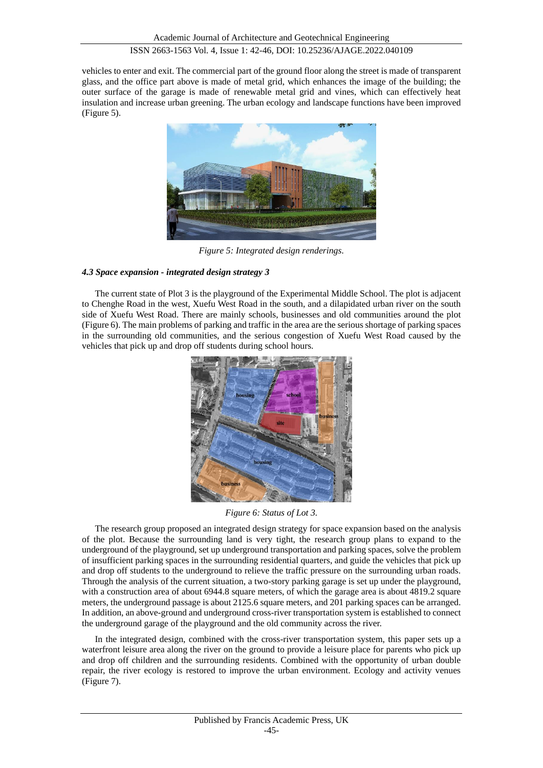# ISSN 2663-1563 Vol. 4, Issue 1: 42-46, DOI: 10.25236/AJAGE.2022.040109

vehicles to enter and exit. The commercial part of the ground floor along the street is made of transparent glass, and the office part above is made of metal grid, which enhances the image of the building; the outer surface of the garage is made of renewable metal grid and vines, which can effectively heat insulation and increase urban greening. The urban ecology and landscape functions have been improved (Figure 5).



*Figure 5: Integrated design renderings.*

# *4.3 Space expansion - integrated design strategy 3*

The current state of Plot 3 is the playground of the Experimental Middle School. The plot is adjacent to Chenghe Road in the west, Xuefu West Road in the south, and a dilapidated urban river on the south side of Xuefu West Road. There are mainly schools, businesses and old communities around the plot (Figure 6). The main problems of parking and traffic in the area are the serious shortage of parking spaces in the surrounding old communities, and the serious congestion of Xuefu West Road caused by the vehicles that pick up and drop off students during school hours.



*Figure 6: Status of Lot 3.*

The research group proposed an integrated design strategy for space expansion based on the analysis of the plot. Because the surrounding land is very tight, the research group plans to expand to the underground of the playground, set up underground transportation and parking spaces, solve the problem of insufficient parking spaces in the surrounding residential quarters, and guide the vehicles that pick up and drop off students to the underground to relieve the traffic pressure on the surrounding urban roads. Through the analysis of the current situation, a two-story parking garage is set up under the playground, with a construction area of about 6944.8 square meters, of which the garage area is about 4819.2 square meters, the underground passage is about 2125.6 square meters, and 201 parking spaces can be arranged. In addition, an above-ground and underground cross-river transportation system is established to connect the underground garage of the playground and the old community across the river.

In the integrated design, combined with the cross-river transportation system, this paper sets up a waterfront leisure area along the river on the ground to provide a leisure place for parents who pick up and drop off children and the surrounding residents. Combined with the opportunity of urban double repair, the river ecology is restored to improve the urban environment. Ecology and activity venues (Figure 7).